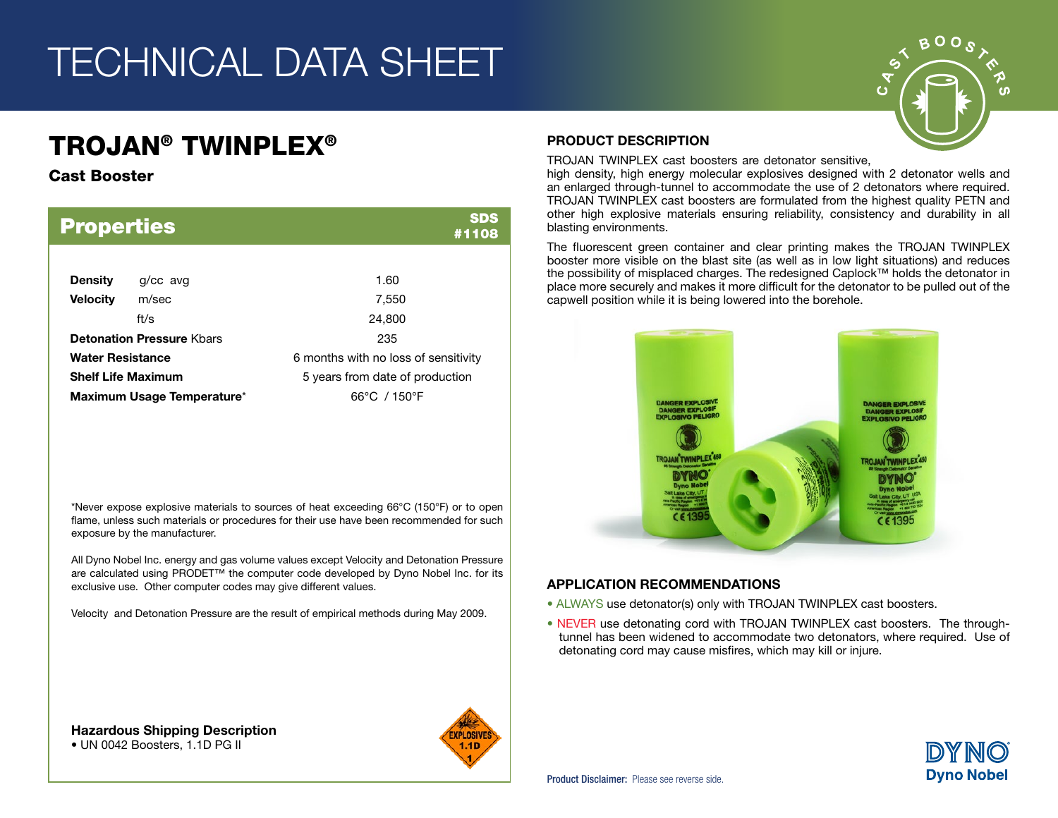## TECHNICAL DATA SHEET

## TROJAN® TWINPLEX®

### Cast Booster

| <b>Properties</b>          |                                  | <b>SDS</b><br>#1108                  |  |  |  |
|----------------------------|----------------------------------|--------------------------------------|--|--|--|
|                            |                                  |                                      |  |  |  |
| <b>Density</b>             | $q$ / $cc$ avg                   | 1.60                                 |  |  |  |
| <b>Velocity</b>            | m/sec                            | 7,550                                |  |  |  |
|                            | ft/s                             | 24,800                               |  |  |  |
|                            | <b>Detonation Pressure Khars</b> | 235                                  |  |  |  |
| <b>Water Resistance</b>    |                                  | 6 months with no loss of sensitivity |  |  |  |
|                            | <b>Shelf Life Maximum</b>        | 5 years from date of production      |  |  |  |
| Maximum Usage Temperature* |                                  | $66^{\circ}$ C / 150 $^{\circ}$ F    |  |  |  |

\*Never expose explosive materials to sources of heat exceeding 66°C (150°F) or to open flame, unless such materials or procedures for their use have been recommended for such exposure by the manufacturer.

All Dyno Nobel Inc. energy and gas volume values except Velocity and Detonation Pressure are calculated using PRODET™ the computer code developed by Dyno Nobel Inc. for its exclusive use. Other computer codes may give different values.

Velocity and Detonation Pressure are the result of empirical methods during May 2009.

#### PRODUCT DESCRIPTION

TROJAN TWINPLEX cast boosters are detonator sensitive,

high density, high energy molecular explosives designed with 2 detonator wells and an enlarged through-tunnel to accommodate the use of 2 detonators where required. TROJAN TWINPLEX cast boosters are formulated from the highest quality PETN and other high explosive materials ensuring reliability, consistency and durability in all blasting environments.

The fluorescent green container and clear printing makes the TROJAN TWINPLEX booster more visible on the blast site (as well as in low light situations) and reduces the possibility of misplaced charges. The redesigned Caplock™ holds the detonator in place more securely and makes it more difficult for the detonator to be pulled out of the capwell position while it is being lowered into the borehole.



### APPLICATION RECOMMENDATIONS

- ALWAYS use detonator(s) only with TROJAN TWINPLEX cast boosters.
- NEVER use detonating cord with TROJAN TWINPLEX cast boosters. The throughtunnel has been widened to accommodate two detonators, where required. Use of detonating cord may cause misfires, which may kill or injure.